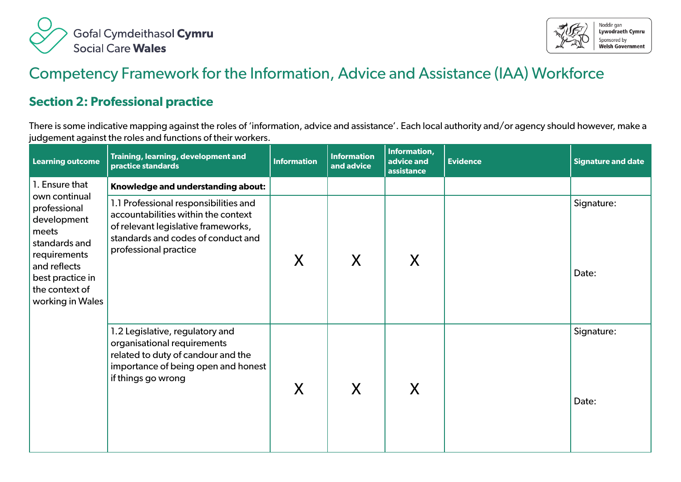



## Competency Framework for the Information, Advice and Assistance (IAA) Workforce

## **Section 2: Professional practice**

There is some indicative mapping against the roles of 'information, advice and assistance'. Each local authority and/or agency should however, make a judgement against the roles and functions of their workers.

| <b>Learning outcome</b>                                                                                                                                          | Training, learning, development and<br>practice standards                                                                                                                          | <b>Information</b> | <b>Information</b><br>and advice | Information,<br>advice and<br>assistance | <b>Evidence</b> | <b>Signature and date</b> |
|------------------------------------------------------------------------------------------------------------------------------------------------------------------|------------------------------------------------------------------------------------------------------------------------------------------------------------------------------------|--------------------|----------------------------------|------------------------------------------|-----------------|---------------------------|
| 1. Ensure that                                                                                                                                                   | Knowledge and understanding about:                                                                                                                                                 |                    |                                  |                                          |                 |                           |
| own continual<br>professional<br>development<br>meets<br>standards and<br>requirements<br>and reflects<br>best practice in<br>the context of<br>working in Wales | 1.1 Professional responsibilities and<br>accountabilities within the context<br>of relevant legislative frameworks,<br>standards and codes of conduct and<br>professional practice | X                  | X                                | X                                        |                 | Signature:<br>Date:       |
|                                                                                                                                                                  | 1.2 Legislative, regulatory and<br>organisational requirements<br>related to duty of candour and the<br>importance of being open and honest<br>if things go wrong                  | X                  | X                                | X                                        |                 | Signature:<br>Date:       |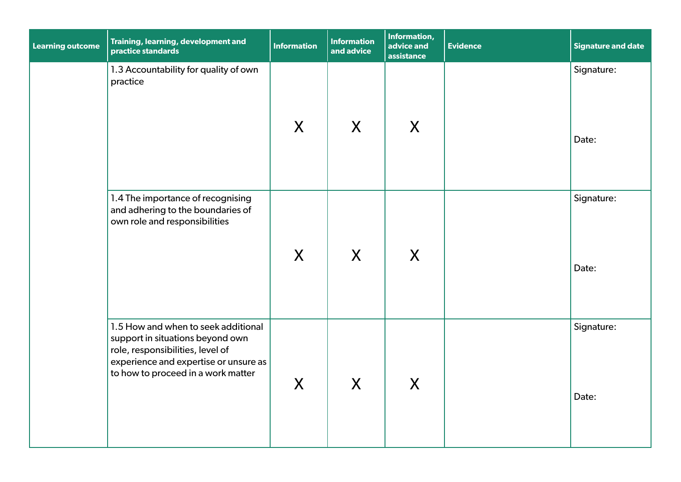| <b>Learning outcome</b> | Training, learning, development and<br>practice standards                                                                                                                                  | <b>Information</b> | <b>Information</b><br>and advice | Information,<br>advice and<br>assistance | <b>Evidence</b> | <b>Signature and date</b> |
|-------------------------|--------------------------------------------------------------------------------------------------------------------------------------------------------------------------------------------|--------------------|----------------------------------|------------------------------------------|-----------------|---------------------------|
|                         | 1.3 Accountability for quality of own<br>practice                                                                                                                                          | X                  | X                                | X                                        |                 | Signature:<br>Date:       |
|                         | 1.4 The importance of recognising<br>and adhering to the boundaries of<br>own role and responsibilities                                                                                    | $\sf X$            | X                                | X                                        |                 | Signature:<br>Date:       |
|                         | 1.5 How and when to seek additional<br>support in situations beyond own<br>role, responsibilities, level of<br>experience and expertise or unsure as<br>to how to proceed in a work matter | X                  | X                                | X                                        |                 | Signature:<br>Date:       |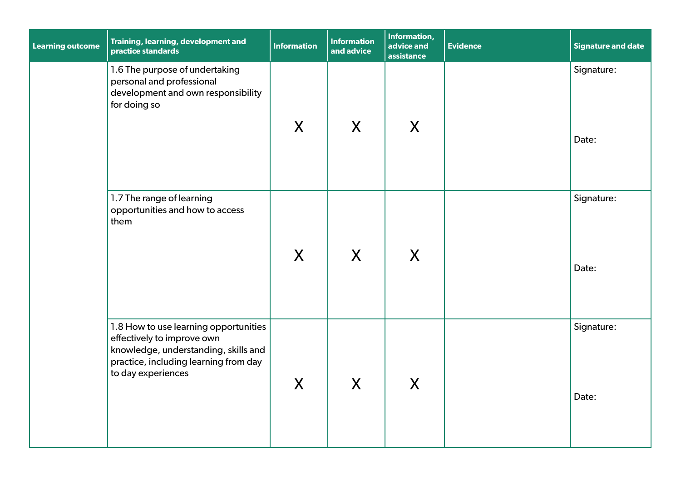| <b>Learning outcome</b> | Training, learning, development and<br>practice standards                                                                                                                  | <b>Information</b> | <b>Information</b><br>and advice | Information,<br>advice and<br>assistance | <b>Evidence</b> | <b>Signature and date</b> |
|-------------------------|----------------------------------------------------------------------------------------------------------------------------------------------------------------------------|--------------------|----------------------------------|------------------------------------------|-----------------|---------------------------|
|                         | 1.6 The purpose of undertaking<br>personal and professional<br>development and own responsibility<br>for doing so                                                          | X                  | X                                | X                                        |                 | Signature:<br>Date:       |
|                         | 1.7 The range of learning<br>opportunities and how to access<br>them                                                                                                       | $\sf X$            | X                                | X                                        |                 | Signature:<br>Date:       |
|                         | 1.8 How to use learning opportunities<br>effectively to improve own<br>knowledge, understanding, skills and<br>practice, including learning from day<br>to day experiences | $\mathsf{X}$       | X                                | X                                        |                 | Signature:<br>Date:       |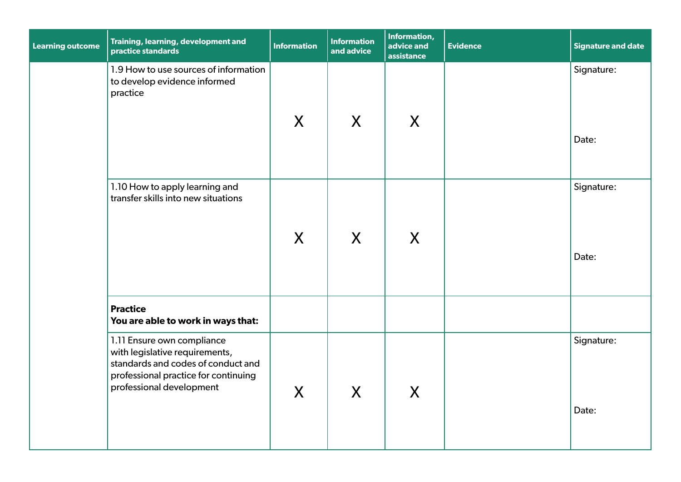| <b>Learning outcome</b> | Training, learning, development and<br>practice standards                                                                                                              | <b>Information</b> | <b>Information</b><br>and advice | Information,<br>advice and<br>assistance | <b>Evidence</b> | <b>Signature and date</b> |
|-------------------------|------------------------------------------------------------------------------------------------------------------------------------------------------------------------|--------------------|----------------------------------|------------------------------------------|-----------------|---------------------------|
|                         | 1.9 How to use sources of information<br>to develop evidence informed<br>practice                                                                                      | X                  | X                                | X                                        |                 | Signature:<br>Date:       |
|                         | 1.10 How to apply learning and<br>transfer skills into new situations                                                                                                  | X                  | X                                | X                                        |                 | Signature:<br>Date:       |
|                         | <b>Practice</b><br>You are able to work in ways that:                                                                                                                  |                    |                                  |                                          |                 |                           |
|                         | 1.11 Ensure own compliance<br>with legislative requirements,<br>standards and codes of conduct and<br>professional practice for continuing<br>professional development | X                  | $\boldsymbol{X}$                 | X                                        |                 | Signature:<br>Date:       |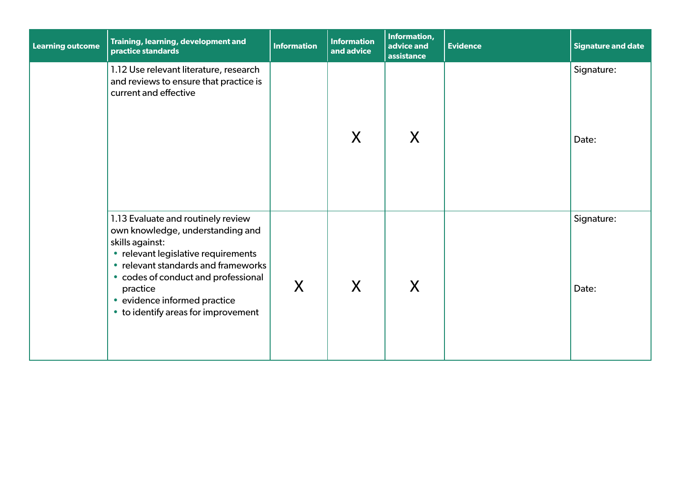| <b>Learning outcome</b> | Training, learning, development and<br>practice standards                                                                                                                                                                                                                                         | <b>Information</b> | <b>Information</b><br>and advice | Information,<br>advice and<br>assistance | <b>Evidence</b> | Signature and date  |
|-------------------------|---------------------------------------------------------------------------------------------------------------------------------------------------------------------------------------------------------------------------------------------------------------------------------------------------|--------------------|----------------------------------|------------------------------------------|-----------------|---------------------|
|                         | 1.12 Use relevant literature, research<br>and reviews to ensure that practice is<br>current and effective                                                                                                                                                                                         |                    | X                                | X                                        |                 | Signature:<br>Date: |
|                         | 1.13 Evaluate and routinely review<br>own knowledge, understanding and<br>skills against:<br>• relevant legislative requirements<br>• relevant standards and frameworks<br>• codes of conduct and professional<br>practice<br>• evidence informed practice<br>• to identify areas for improvement | X                  | X                                | X                                        |                 | Signature:<br>Date: |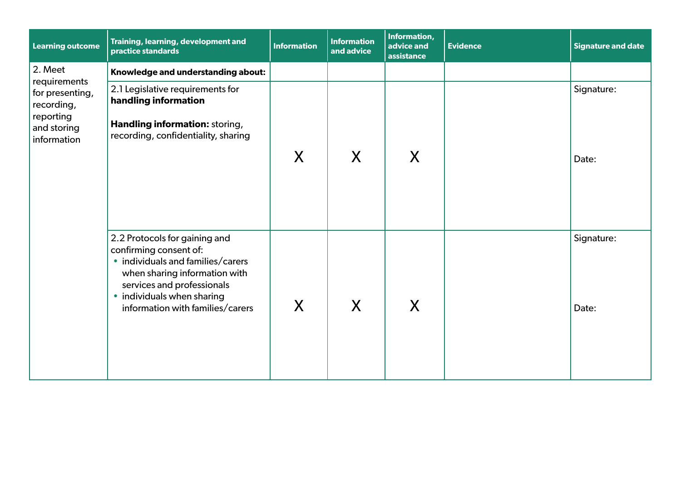| <b>Learning outcome</b>                                                                  | Training, learning, development and<br>practice standards                                                                                                                                                                     | <b>Information</b> | <b>Information</b><br>and advice | Information,<br>advice and<br>assistance | <b>Evidence</b> | <b>Signature and date</b> |
|------------------------------------------------------------------------------------------|-------------------------------------------------------------------------------------------------------------------------------------------------------------------------------------------------------------------------------|--------------------|----------------------------------|------------------------------------------|-----------------|---------------------------|
| 2. Meet                                                                                  | Knowledge and understanding about:                                                                                                                                                                                            |                    |                                  |                                          |                 |                           |
| requirements<br>for presenting,<br>recording,<br>reporting<br>and storing<br>information | 2.1 Legislative requirements for<br>handling information<br>Handling information: storing,<br>recording, confidentiality, sharing                                                                                             | X                  | X                                | X                                        |                 | Signature:<br>Date:       |
|                                                                                          | 2.2 Protocols for gaining and<br>confirming consent of:<br>• individuals and families/carers<br>when sharing information with<br>services and professionals<br>• individuals when sharing<br>information with families/carers | X                  | X                                | X                                        |                 | Signature:<br>Date:       |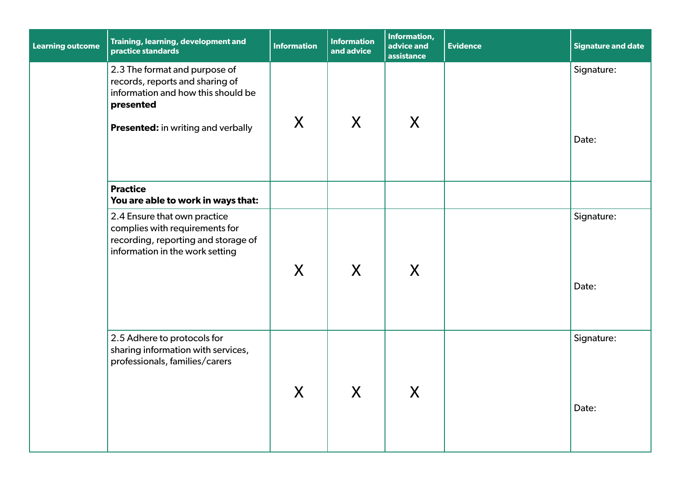| <b>Learning outcome</b> | Training, learning, development and<br>practice standards                                                                                                        | <b>Information</b> | <b>Information</b><br>and advice      | Information,<br>advice and<br>assistance | <b>Evidence</b> | <b>Signature and date</b> |
|-------------------------|------------------------------------------------------------------------------------------------------------------------------------------------------------------|--------------------|---------------------------------------|------------------------------------------|-----------------|---------------------------|
|                         | 2.3 The format and purpose of<br>records, reports and sharing of<br>information and how this should be<br>presented<br><b>Presented:</b> in writing and verbally | X                  | X                                     | X                                        |                 | Signature:<br>Date:       |
|                         | <b>Practice</b><br>You are able to work in ways that:                                                                                                            |                    |                                       |                                          |                 |                           |
|                         | 2.4 Ensure that own practice<br>complies with requirements for<br>recording, reporting and storage of<br>information in the work setting                         | X                  | $\sf X$                               | X                                        |                 | Signature:<br>Date:       |
|                         | 2.5 Adhere to protocols for<br>sharing information with services,<br>professionals, families/carers                                                              | X                  | $\mathbf v$<br>$\boldsymbol{\lambda}$ | $\mathbf v$<br>$\boldsymbol{\lambda}$    |                 | Signature:<br>Date:       |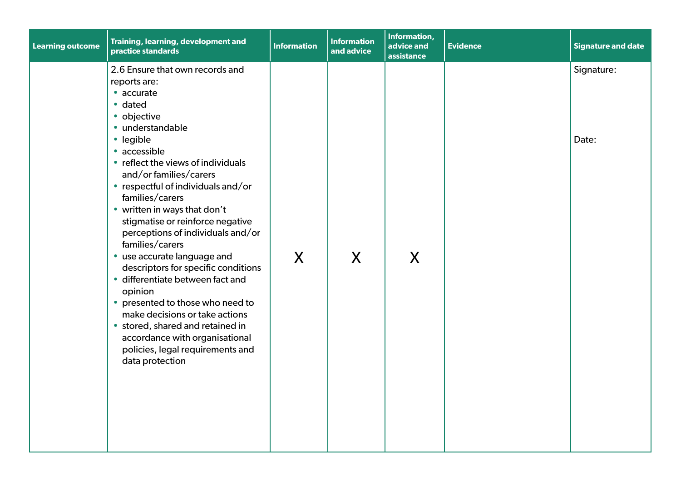| <b>Learning outcome</b> | Training, learning, development and<br>practice standards                                                                                                                                                                                                                                                                                                                                                                                                                                                                                                                                                                                                                                                             | <b>Information</b> | <b>Information</b><br>and advice | Information,<br>advice and<br>assistance | <b>Evidence</b> | <b>Signature and date</b> |
|-------------------------|-----------------------------------------------------------------------------------------------------------------------------------------------------------------------------------------------------------------------------------------------------------------------------------------------------------------------------------------------------------------------------------------------------------------------------------------------------------------------------------------------------------------------------------------------------------------------------------------------------------------------------------------------------------------------------------------------------------------------|--------------------|----------------------------------|------------------------------------------|-----------------|---------------------------|
|                         | 2.6 Ensure that own records and<br>reports are:<br>• accurate<br>• dated<br>• objective<br>· understandable<br>· legible<br>• accessible<br>• reflect the views of individuals<br>and/or families/carers<br>• respectful of individuals and/or<br>families/carers<br>• written in ways that don't<br>stigmatise or reinforce negative<br>perceptions of individuals and/or<br>families/carers<br>• use accurate language and<br>descriptors for specific conditions<br>· differentiate between fact and<br>opinion<br>• presented to those who need to<br>make decisions or take actions<br>• stored, shared and retained in<br>accordance with organisational<br>policies, legal requirements and<br>data protection | X                  | X                                | X                                        |                 | Signature:<br>Date:       |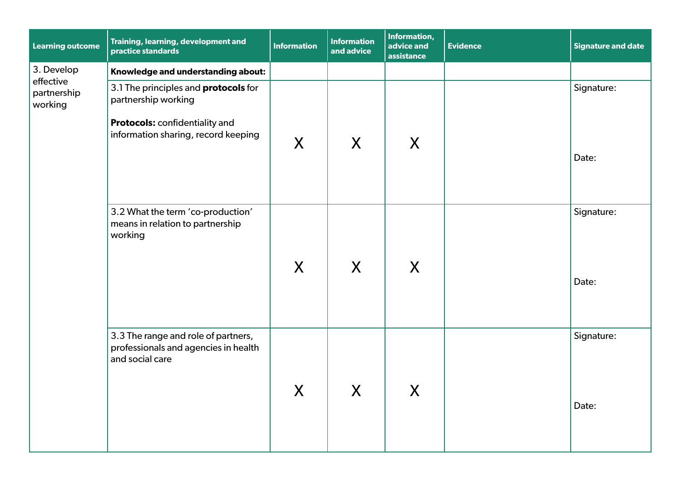| <b>Learning outcome</b>             | Training, learning, development and<br>practice standards                                      | <b>Information</b> | <b>Information</b><br>and advice | Information,<br>advice and<br>assistance | <b>Evidence</b> | <b>Signature and date</b> |
|-------------------------------------|------------------------------------------------------------------------------------------------|--------------------|----------------------------------|------------------------------------------|-----------------|---------------------------|
| 3. Develop                          | Knowledge and understanding about:                                                             |                    |                                  |                                          |                 |                           |
| effective<br>partnership<br>working | 3.1 The principles and <b>protocols</b> for<br>partnership working                             |                    |                                  |                                          |                 | Signature:                |
|                                     | Protocols: confidentiality and<br>information sharing, record keeping                          | X                  | X                                | X                                        |                 | Date:                     |
|                                     | 3.2 What the term 'co-production'<br>means in relation to partnership<br>working               |                    | X                                |                                          |                 | Signature:                |
|                                     |                                                                                                | X                  |                                  | X                                        |                 | Date:                     |
|                                     | 3.3 The range and role of partners,<br>professionals and agencies in health<br>and social care |                    | Y                                | $\mathbf{V}$                             |                 | Signature:                |
|                                     |                                                                                                | $\boldsymbol{X}$   | $\boldsymbol{\Lambda}$           | $\boldsymbol{\Lambda}$                   |                 | Date:                     |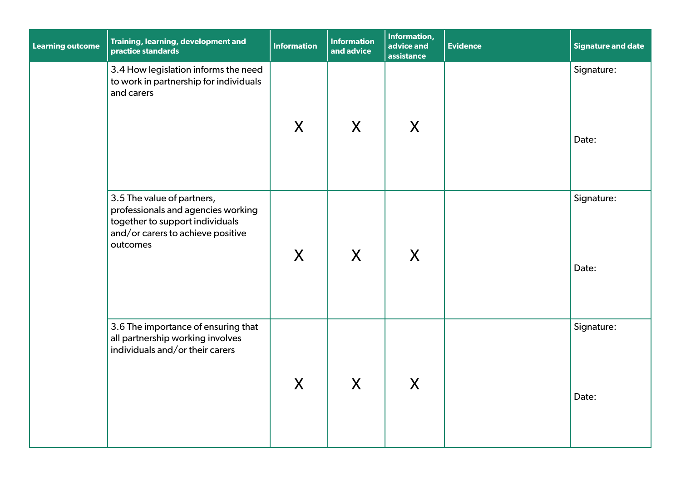| <b>Learning outcome</b> | Training, learning, development and<br>practice standards                                                                                            | <b>Information</b> | <b>Information</b><br>and advice | Information,<br>advice and<br>assistance | <b>Evidence</b> | <b>Signature and date</b> |
|-------------------------|------------------------------------------------------------------------------------------------------------------------------------------------------|--------------------|----------------------------------|------------------------------------------|-----------------|---------------------------|
|                         | 3.4 How legislation informs the need<br>to work in partnership for individuals<br>and carers                                                         | X                  | X                                | X                                        |                 | Signature:<br>Date:       |
|                         | 3.5 The value of partners,<br>professionals and agencies working<br>together to support individuals<br>and/or carers to achieve positive<br>outcomes | $\sf X$            | X                                | X                                        |                 | Signature:<br>Date:       |
|                         | 3.6 The importance of ensuring that<br>all partnership working involves<br>individuals and/or their carers                                           | X                  | X                                | X                                        |                 | Signature:<br>Date:       |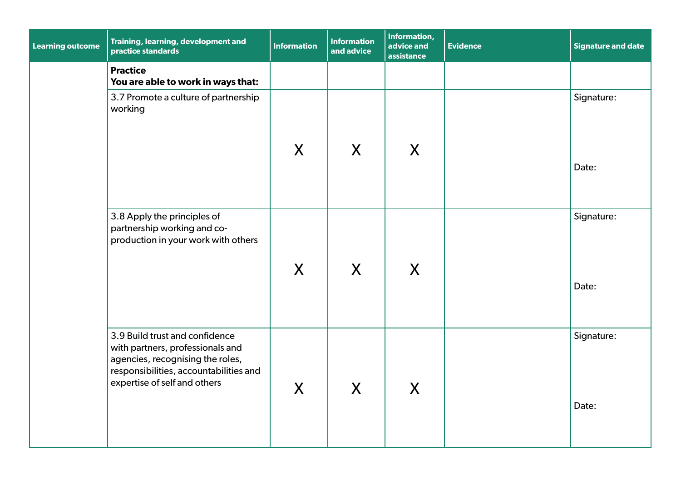| <b>Learning outcome</b> | Training, learning, development and<br>practice standards                                                                                                                        | <b>Information</b> | <b>Information</b><br>and advice | Information,<br>advice and<br>assistance | <b>Evidence</b> | <b>Signature and date</b> |
|-------------------------|----------------------------------------------------------------------------------------------------------------------------------------------------------------------------------|--------------------|----------------------------------|------------------------------------------|-----------------|---------------------------|
|                         | <b>Practice</b><br>You are able to work in ways that:                                                                                                                            |                    |                                  |                                          |                 |                           |
|                         | 3.7 Promote a culture of partnership<br>working                                                                                                                                  |                    |                                  |                                          |                 | Signature:                |
|                         |                                                                                                                                                                                  | $\sf X$            | $\sf X$                          | X                                        |                 | Date:                     |
|                         | 3.8 Apply the principles of<br>partnership working and co-<br>production in your work with others                                                                                |                    |                                  |                                          |                 | Signature:                |
|                         |                                                                                                                                                                                  | X                  | X                                | X                                        |                 | Date:                     |
|                         | 3.9 Build trust and confidence<br>with partners, professionals and<br>agencies, recognising the roles,<br>responsibilities, accountabilities and<br>expertise of self and others | X                  | X                                | X                                        |                 | Signature:                |
|                         |                                                                                                                                                                                  |                    |                                  |                                          |                 | Date:                     |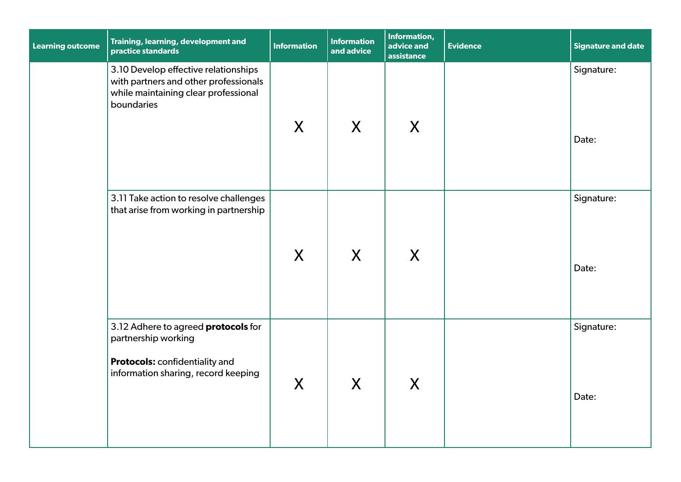| <b>Learning outcome</b> | Training, learning, development and<br>practice standards                                                                                  | <b>Information</b> | <b>Information</b><br>and advice | Information,<br>advice and<br>assistance | <b>Evidence</b> | <b>Signature and date</b> |
|-------------------------|--------------------------------------------------------------------------------------------------------------------------------------------|--------------------|----------------------------------|------------------------------------------|-----------------|---------------------------|
|                         | 3.10 Develop effective relationships<br>with partners and other professionals<br>while maintaining clear professional<br>boundaries        | X                  | X                                | X                                        |                 | Signature:<br>Date:       |
|                         | 3.11 Take action to resolve challenges<br>that arise from working in partnership                                                           | X                  | X                                | X                                        |                 | Signature:<br>Date:       |
|                         | 3.12 Adhere to agreed <b>protocols</b> for<br>partnership working<br>Protocols: confidentiality and<br>information sharing, record keeping | X                  | X                                | $\mathsf{X}$                             |                 | Signature:<br>Date:       |